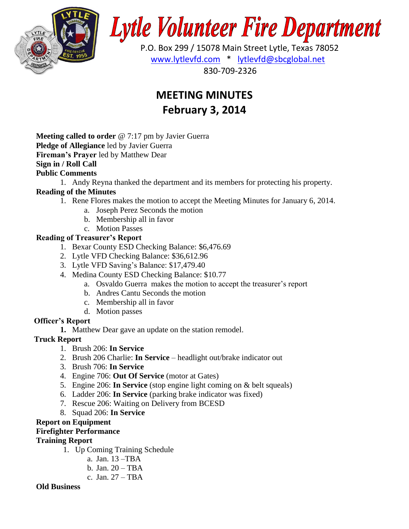

# **Lytle Volunteer Fire Department**

 P.O. Box 299 / 15078 Main Street Lytle, Texas 78052 [www.lytlevfd.com](http://www.lytlevfd.com/) \* [lytlevfd@sbcglobal.net](mailto:lytlevfd@sbcglobal.net) 830-709-2326

# **MEETING MINUTES February 3, 2014**

**Meeting called to order** @ 7:17 pm by Javier Guerra **Pledge of Allegiance** led by Javier Guerra **Fireman's Prayer** led by Matthew Dear **Sign in / Roll Call Public Comments**

1. Andy Reyna thanked the department and its members for protecting his property.

## **Reading of the Minutes**

- 1. Rene Flores makes the motion to accept the Meeting Minutes for January 6, 2014.
	- a. Joseph Perez Seconds the motion
	- b. Membership all in favor
	- c. Motion Passes

### **Reading of Treasurer's Report**

- 1. Bexar County ESD Checking Balance: \$6,476.69
- 2. Lytle VFD Checking Balance: \$36,612.96
- 3. Lytle VFD Saving's Balance: \$17,479.40
- 4. Medina County ESD Checking Balance: \$10.77
	- a. Osvaldo Guerra makes the motion to accept the treasurer's report
	- b. Andres Cantu Seconds the motion
	- c. Membership all in favor
	- d. Motion passes

#### **Officer's Report**

**1.** Matthew Dear gave an update on the station remodel.

#### **Truck Report**

- 1. Brush 206: **In Service**
- 2. Brush 206 Charlie: **In Service**  headlight out/brake indicator out
- 3. Brush 706: **In Service**
- 4. Engine 706: **Out Of Service** (motor at Gates)
- 5. Engine 206: **In Service** (stop engine light coming on & belt squeals)
- 6. Ladder 206: **In Service** (parking brake indicator was fixed)
- 7. Rescue 206: Waiting on Delivery from BCESD
- 8. Squad 206: **In Service**

#### **Report on Equipment**

#### **Firefighter Performance**

#### **Training Report**

- 1. Up Coming Training Schedule
	- a. Jan. 13 –TBA
	- b. Jan. 20 TBA
	- c. Jan. 27 TBA

#### **Old Business**